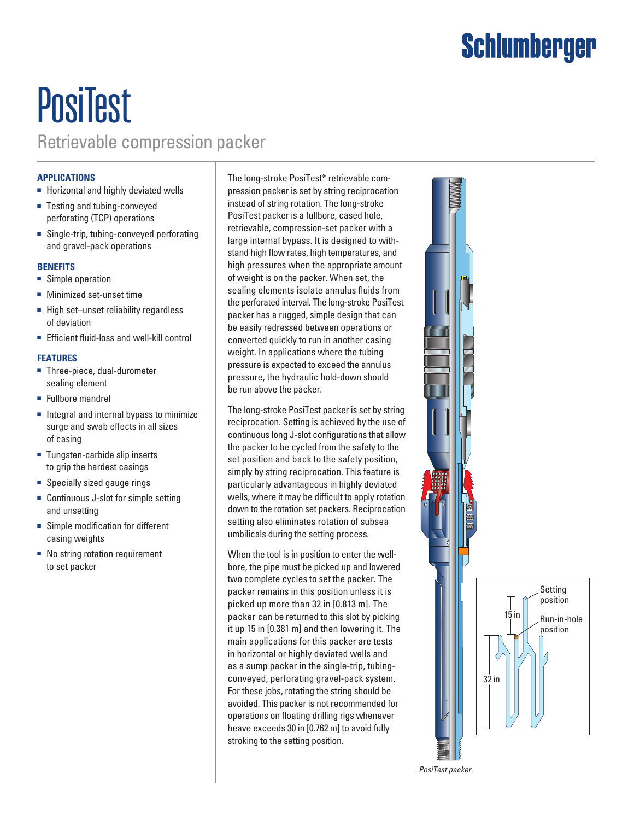## Schlumberger

### **PosiTest** Retrievable compression packer

### **APPLICATIONS**

- Horizontal and highly deviated wells
- Testing and tubing-conveyed perforating (TCP) operations
- Single-trip, tubing-conveyed perforating and gravel-pack operations

#### **BENEFITS**

- Simple operation
- Minimized set-unset time
- High set–unset reliability regardless of deviation
- Efficient fluid-loss and well-kill control

#### **FEATURES**

- Three-piece, dual-durometer sealing element
- Fullbore mandrel
- Integral and internal bypass to minimize surge and swab effects in all sizes of casing
- Tungsten-carbide slip inserts to grip the hardest casings
- Specially sized gauge rings
- Continuous J-slot for simple setting and unsetting
- Simple modification for different casing weights
- No string rotation requirement to set packer

The long-stroke PosiTest\* retrievable compression packer is set by string reciprocation instead of string rotation. The long-stroke PosiTest packer is a fullbore, cased hole, retrievable, compression-set packer with a large internal bypass. It is designed to withstand high flow rates, high temperatures, and high pressures when the appropriate amount of weight is on the packer. When set, the sealing elements isolate annulus fluids from the perforated interval. The long-stroke PosiTest packer has a rugged, simple design that can be easily redressed between operations or converted quickly to run in another casing weight. In applications where the tubing pressure is expected to exceed the annulus pressure, the hydraulic hold-down should be run above the packer.

The long-stroke PosiTest packer is set by string reciprocation. Setting is achieved by the use of continuous long J-slot configurations that allow the packer to be cycled from the safety to the set position and back to the safety position, simply by string reciprocation. This feature is particularly advantageous in highly deviated wells, where it may be difficult to apply rotation down to the rotation set packers. Reciprocation setting also eliminates rotation of subsea umbilicals during the setting process.

When the tool is in position to enter the wellbore, the pipe must be picked up and lowered two complete cycles to set the packer. The packer remains in this position unless it is picked up more than 32 in [0.813 m]. The packer can be returned to this slot by picking it up 15 in [0.381 m] and then lowering it. The main applications for this packer are tests in horizontal or highly deviated wells and as a sump packer in the single-trip, tubingconveyed, perforating gravel-pack system. For these jobs, rotating the string should be avoided. This packer is not recommended for operations on floating drilling rigs whenever heave exceeds 30 in [0.762 m] to avoid fully stroking to the setting position.



*PosiTest packer.*